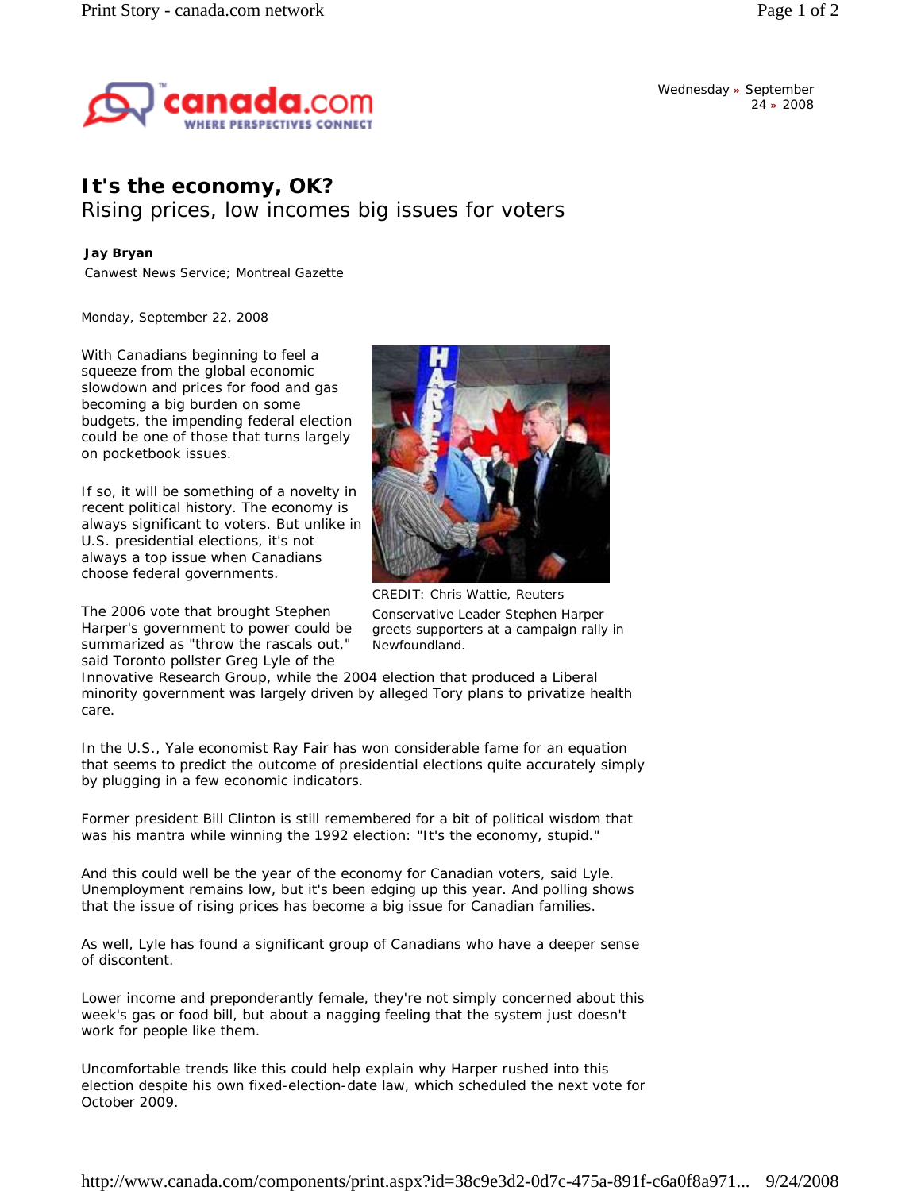

Wednesday **»** September 24 **»** 2008

## **It's the economy, OK?**

Rising prices, low incomes big issues for voters

## **Jay Bryan**

Canwest News Service; Montreal Gazette

*Monday, September 22, 2008* 

With Canadians beginning to feel a squeeze from the global economic slowdown and prices for food and gas becoming a big burden on some budgets, the impending federal election could be one of those that turns largely on pocketbook issues.

If so, it will be something of a novelty in recent political history. The economy is always significant to voters. But unlike in U.S. presidential elections, it's not always a top issue when Canadians choose federal governments.

The 2006 vote that brought Stephen Harper's government to power could be summarized as "throw the rascals out," said Toronto pollster Greg Lyle of the



CREDIT: Chris Wattie, Reuters Conservative Leader Stephen Harper greets supporters at a campaign rally in Newfoundland.

Innovative Research Group, while the 2004 election that produced a Liberal minority government was largely driven by alleged Tory plans to privatize health care.

In the U.S., Yale economist Ray Fair has won considerable fame for an equation that seems to predict the outcome of presidential elections quite accurately simply by plugging in a few economic indicators.

Former president Bill Clinton is still remembered for a bit of political wisdom that was his mantra while winning the 1992 election: "It's the economy, stupid."

And this could well be the year of the economy for Canadian voters, said Lyle. Unemployment remains low, but it's been edging up this year. And polling shows that the issue of rising prices has become a big issue for Canadian families.

As well, Lyle has found a significant group of Canadians who have a deeper sense of discontent.

Lower income and preponderantly female, they're not simply concerned about this week's gas or food bill, but about a nagging feeling that the system just doesn't work for people like them.

Uncomfortable trends like this could help explain why Harper rushed into this election despite his own fixed-election-date law, which scheduled the next vote for October 2009.